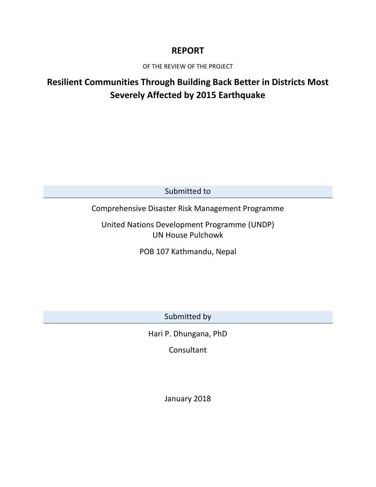## **REPORT**

OF THE REVIEW OF THE PROJECT

# **Resilient Communities Through Building Back Better in Districts Most Severely Affected by 2015 Earthquake**

Submitted to

## Comprehensive Disaster Risk Management Programme

United Nations Development Programme (UNDP) UN House Pulchowk

POB 107 Kathmandu, Nepal

Submitted by

Hari P. Dhungana, PhD

**Consultant** 

January 2018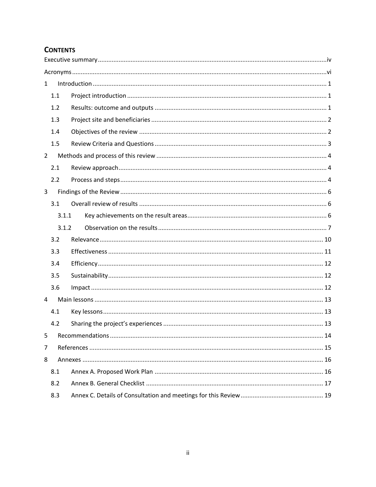## **CONTENTS**

| $\mathbf{1}$   |       |  |  |  |  |
|----------------|-------|--|--|--|--|
|                | 1.1   |  |  |  |  |
|                | 1.2   |  |  |  |  |
|                | 1.3   |  |  |  |  |
|                | 1.4   |  |  |  |  |
|                | 1.5   |  |  |  |  |
| $\overline{2}$ |       |  |  |  |  |
|                | 2.1   |  |  |  |  |
|                | 2.2   |  |  |  |  |
| 3              |       |  |  |  |  |
|                | 3.1   |  |  |  |  |
|                | 3.1.1 |  |  |  |  |
|                | 3.1.2 |  |  |  |  |
|                | 3.2   |  |  |  |  |
|                | 3.3   |  |  |  |  |
|                | 3.4   |  |  |  |  |
|                | 3.5   |  |  |  |  |
|                | 3.6   |  |  |  |  |
| 4              |       |  |  |  |  |
|                | 4.1   |  |  |  |  |
|                | 4.2   |  |  |  |  |
| 5              |       |  |  |  |  |
| 7              |       |  |  |  |  |
| 8              |       |  |  |  |  |
|                | 8.1   |  |  |  |  |
|                | 8.2   |  |  |  |  |
|                | 8.3   |  |  |  |  |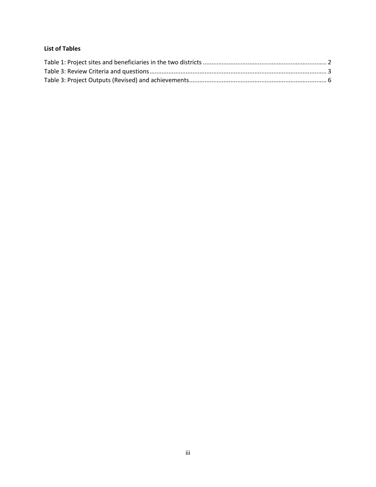#### **List of Tables**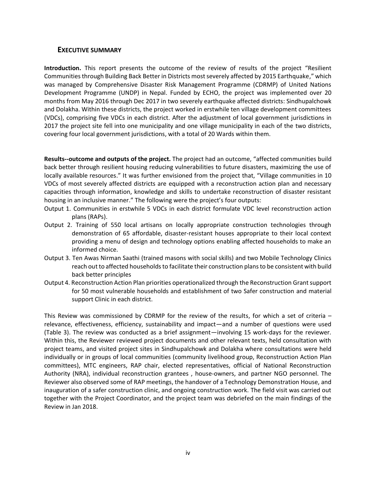#### <span id="page-3-0"></span>**EXECUTIVE SUMMARY**

**Introduction.** This report presents the outcome of the review of results of the project "Resilient Communities through Building Back Better in Districts most severely affected by 2015 Earthquake," which was managed by Comprehensive Disaster Risk Management Programme (CDRMP) of United Nations Development Programme (UNDP) in Nepal. Funded by ECHO, the project was implemented over 20 months from May 2016 through Dec 2017 in two severely earthquake affected districts: Sindhupalchowk and Dolakha. Within these districts, the project worked in erstwhile ten village development committees (VDCs), comprising five VDCs in each district. After the adjustment of local government jurisdictions in 2017 the project site fell into one municipality and one village municipality in each of the two districts, covering four local government jurisdictions, with a total of 20 Wards within them.

**Results--outcome and outputs of the project.** The project had an outcome, "affected communities build back better through resilient housing reducing vulnerabilities to future disasters, maximizing the use of locally available resources." It was further envisioned from the project that, "Village communities in 10 VDCs of most severely affected districts are equipped with a reconstruction action plan and necessary capacities through information, knowledge and skills to undertake reconstruction of disaster resistant housing in an inclusive manner." The following were the project's four outputs:

- Output 1. Communities in erstwhile 5 VDCs in each district formulate VDC level reconstruction action plans (RAPs).
- Output 2. Training of 550 local artisans on locally appropriate construction technologies through demonstration of 65 affordable, disaster-resistant houses appropriate to their local context providing a menu of design and technology options enabling affected households to make an informed choice.
- Output 3. Ten Awas Nirman Saathi (trained masons with social skills) and two Mobile Technology Clinics reach out to affected households to facilitate their construction plans to be consistent with build back better principles
- Output 4. Reconstruction Action Plan priorities operationalized through the Reconstruction Grant support for 50 most vulnerable households and establishment of two Safer construction and material support Clinic in each district.

This Review was commissioned by CDRMP for the review of the results, for which a set of criteria – relevance, effectiveness, efficiency, sustainability and impact—and a number of questions were used (Table 3). The review was conducted as a brief assignment—involving 15 work-days for the reviewer. Within this, the Reviewer reviewed project documents and other relevant texts, held consultation with project teams, and visited project sites in Sindhupalchowk and Dolakha where consultations were held individually or in groups of local communities (community livelihood group, Reconstruction Action Plan committees), MTC engineers, RAP chair, elected representatives, official of National Reconstruction Authority (NRA), individual reconstruction grantees , house-owners, and partner NGO personnel. The Reviewer also observed some of RAP meetings, the handover of a Technology Demonstration House, and inauguration of a safer construction clinic, and ongoing construction work. The field visit was carried out together with the Project Coordinator, and the project team was debriefed on the main findings of the Review in Jan 2018.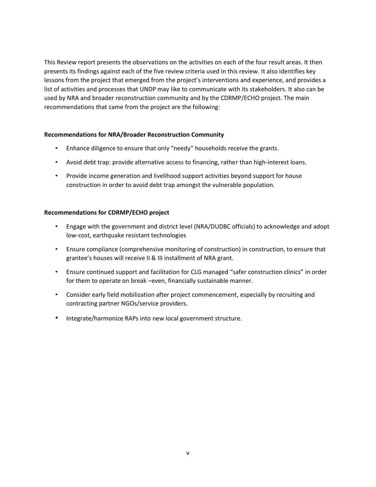This Review report presents the observations on the activities on each of the four result areas. It then presents its findings against each of the five review criteria used in this review. It also identifies key lessons from the project that emerged from the project's interventions and experience, and provides a list of activities and processes that UNDP may like to communicate with its stakeholders. It also can be used by NRA and broader reconstruction community and by the CDRMP/ECHO project. The main recommendations that came from the project are the following:

#### **Recommendations for NRA/Broader Reconstruction Community**

- Enhance diligence to ensure that only "needy" households receive the grants.
- Avoid debt trap: provide alternative access to financing, rather than high-interest loans.
- Provide income generation and livelihood support activities beyond support for house construction in order to avoid debt trap amongst the vulnerable population.

#### **Recommendations for CDRMP/ECHO project**

- Engage with the government and district level (NRA/DUDBC officials) to acknowledge and adopt low-cost, earthquake resistant technologies
- Ensure compliance (comprehensive monitoring of construction) in construction, to ensure that grantee's houses will receive II & III installment of NRA grant.
- Ensure continued support and facilitation for CLG managed "safer construction clinics" in order for them to operate on break –even, financially sustainable manner.
- Consider early field mobilization after project commencement, especially by recruiting and contracting partner NGOs/service providers.
- Integrate/harmonize RAPs into new local government structure.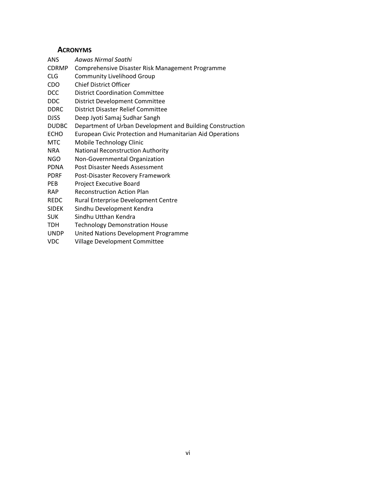### **ACRONYMS**

<span id="page-5-0"></span>

| ANS          | Aawas Nirmal Saathi                                       |
|--------------|-----------------------------------------------------------|
| <b>CDRMP</b> | Comprehensive Disaster Risk Management Programme          |
| CLG          | <b>Community Livelihood Group</b>                         |
| CDO          | <b>Chief District Officer</b>                             |
| <b>DCC</b>   | <b>District Coordination Committee</b>                    |
| DDC          | District Development Committee                            |
| <b>DDRC</b>  | District Disaster Relief Committee                        |
| DJSS         | Deep Jyoti Samaj Sudhar Sangh                             |
| <b>DUDBC</b> | Department of Urban Development and Building Construction |
| <b>ECHO</b>  | European Civic Protection and Humanitarian Aid Operations |
| MTC          | Mobile Technology Clinic                                  |
| NRA          | National Reconstruction Authority                         |
| <b>NGO</b>   | Non-Governmental Organization                             |
| PDNA         | Post Disaster Needs Assessment                            |
| <b>PDRF</b>  | Post-Disaster Recovery Framework                          |
| PEB          | Project Executive Board                                   |
| RAP.         | <b>Reconstruction Action Plan</b>                         |
| REDC         | Rural Enterprise Development Centre                       |
| SIDEK        | Sindhu Development Kendra                                 |
| SUK          | Sindhu Utthan Kendra                                      |
| π∩⊔          | Technology Demonstration House                            |

- TDH Technology Demonstration House
- UNDP United Nations Development Programme<br>VDC Village Development Committee
- Village Development Committee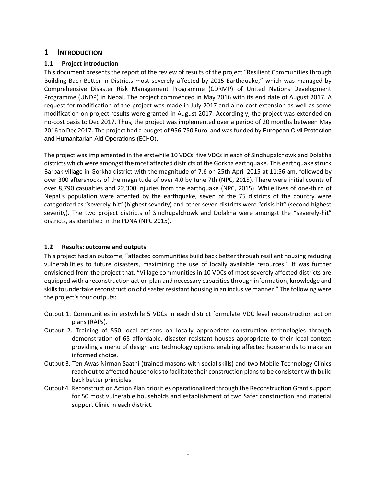#### <span id="page-6-0"></span>**1 INTRODUCTION**

#### <span id="page-6-1"></span>**1.1 Project introduction**

This document presents the report of the review of results of the project "Resilient Communities through Building Back Better in Districts most severely affected by 2015 Earthquake," which was managed by Comprehensive Disaster Risk Management Programme (CDRMP) of United Nations Development Programme (UNDP) in Nepal. The project commenced in May 2016 with its end date of August 2017. A request for modification of the project was made in July 2017 and a no-cost extension as well as some modification on project results were granted in August 2017. Accordingly, the project was extended on no-cost basis to Dec 2017. Thus, the project was implemented over a period of 20 months between May 2016 to Dec 2017. The project had a budget of 956,750 Euro, and was funded by European Civil Protection and Humanitarian Aid Operations (ECHO).

The project was implemented in the erstwhile 10 VDCs, five VDCs in each of Sindhupalchowk and Dolakha districts which were amongst the most affected districts of the Gorkha earthquake. This earthquake struck Barpak village in Gorkha district with the magnitude of 7.6 on 25th April 2015 at 11:56 am, followed by over 300 aftershocks of the magnitude of over 4.0 by June 7th (NPC, 2015). There were initial counts of over 8,790 casualties and 22,300 injuries from the earthquake (NPC, 2015). While lives of one-third of Nepal's population were affected by the earthquake, seven of the 75 districts of the country were categorized as "severely-hit" (highest severity) and other seven districts were "crisis hit" (second highest severity). The two project districts of Sindhupalchowk and Dolakha were amongst the "severely-hit" districts, as identified in the PDNA (NPC 2015).

#### <span id="page-6-2"></span>**1.2 Results: outcome and outputs**

This project had an outcome, "affected communities build back better through resilient housing reducing vulnerabilities to future disasters, maximizing the use of locally available resources." It was further envisioned from the project that, "Village communities in 10 VDCs of most severely affected districts are equipped with a reconstruction action plan and necessary capacities through information, knowledge and skills to undertake reconstruction of disaster resistant housing in an inclusive manner." The following were the project's four outputs:

- Output 1. Communities in erstwhile 5 VDCs in each district formulate VDC level reconstruction action plans (RAPs).
- Output 2. Training of 550 local artisans on locally appropriate construction technologies through demonstration of 65 affordable, disaster-resistant houses appropriate to their local context providing a menu of design and technology options enabling affected households to make an informed choice.
- Output 3. Ten Awas Nirman Saathi (trained masons with social skills) and two Mobile Technology Clinics reach out to affected households to facilitate their construction plans to be consistent with build back better principles
- Output 4. Reconstruction Action Plan priorities operationalized through the Reconstruction Grant support for 50 most vulnerable households and establishment of two Safer construction and material support Clinic in each district.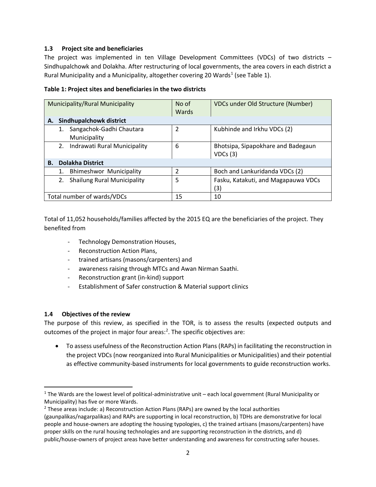#### <span id="page-7-0"></span>**1.3 Project site and beneficiaries**

The project was implemented in ten Village Development Committees (VDCs) of two districts – Sindhupalchowk and Dolakha. After restructuring of local governments, the area covers in each district a Rural Municipality and a Municipality, altogether covering 20 Wards<sup>1</sup> (see Table 1).

<span id="page-7-2"></span>

|  | Table 1: Project sites and beneficiaries in the two districts |
|--|---------------------------------------------------------------|
|--|---------------------------------------------------------------|

| <b>Municipality/Rural Municipality</b>   | No of          | VDCs under Old Structure (Number)   |  |  |  |
|------------------------------------------|----------------|-------------------------------------|--|--|--|
|                                          | Wards          |                                     |  |  |  |
| <b>Sindhupalchowk district</b><br>А.     |                |                                     |  |  |  |
| Sangachok-Gadhi Chautara                 | $\overline{2}$ | Kubhinde and Irkhu VDCs (2)         |  |  |  |
| Municipality                             |                |                                     |  |  |  |
| Indrawati Rural Municipality<br>2.       | 6              | Bhotsipa, Sipapokhare and Badegaun  |  |  |  |
|                                          |                | VDCs(3)                             |  |  |  |
| <b>Dolakha District</b><br><b>B.</b>     |                |                                     |  |  |  |
| <b>Bhimeshwor Municipality</b><br>1.     | $\overline{2}$ | Boch and Lankuridanda VDCs (2)      |  |  |  |
| <b>Shailung Rural Municipality</b><br>2. | 5              | Fasku, Katakuti, and Magapauwa VDCs |  |  |  |
|                                          |                | (3)                                 |  |  |  |
| Total number of wards/VDCs               | 15             | 10                                  |  |  |  |

Total of 11,052 households/families affected by the 2015 EQ are the beneficiaries of the project. They benefited from

- Technology Demonstration Houses,
- Reconstruction Action Plans,
- trained artisans (masons/carpenters) and
- awareness raising through MTCs and Awan Nirman Saathi.
- Reconstruction grant (in-kind) support
- Establishment of Safer construction & Material support clinics

#### <span id="page-7-1"></span>**1.4 Objectives of the review**

l

The purpose of this review, as specified in the TOR, is to assess the results (expected outputs and outcomes of the project in major four areas: $2$ . The specific objectives are:

• To assess usefulness of the Reconstruction Action Plans (RAPs) in facilitating the reconstruction in the project VDCs (now reorganized into Rural Municipalities or Municipalities) and their potential as effective community-based instruments for local governments to guide reconstruction works.

 $1$  The Wards are the lowest level of political-administrative unit – each local government (Rural Municipality or Municipality) has five or more Wards.

 $2$  These areas include: a) Reconstruction Action Plans (RAPs) are owned by the local authorities (gaunpalikas/nagarpalikas) and RAPs are supporting in local reconstruction, b) TDHs are demonstrative for local people and house-owners are adopting the housing typologies, c) the trained artisans (masons/carpenters) have proper skills on the rural housing technologies and are supporting reconstruction in the districts, and d) public/house-owners of project areas have better understanding and awareness for constructing safer houses.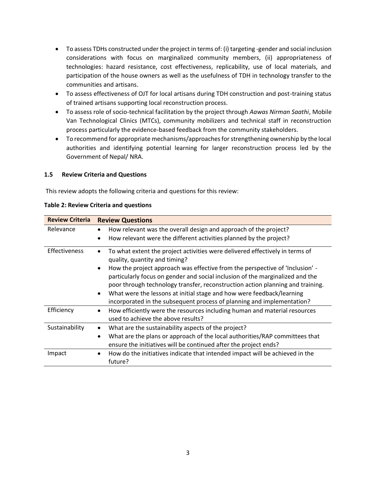- To assess TDHs constructed under the project in terms of: (i) targeting -gender and social inclusion considerations with focus on marginalized community members, (ii) appropriateness of technologies: hazard resistance, cost effectiveness, replicability, use of local materials, and participation of the house owners as well as the usefulness of TDH in technology transfer to the communities and artisans.
- To assess effectiveness of OJT for local artisans during TDH construction and post-training status of trained artisans supporting local reconstruction process.
- To assess role of socio-technical facilitation by the project through *Aawas Nirman Saathi*, Mobile Van Technological Clinics (MTCs), community mobilizers and technical staff in reconstruction process particularly the evidence-based feedback from the community stakeholders.
- To recommend for appropriate mechanisms/approaches for strengthening ownership by the local authorities and identifying potential learning for larger reconstruction process led by the Government of Nepal/ NRA.

#### <span id="page-8-0"></span>**1.5 Review Criteria and Questions**

This review adopts the following criteria and questions for this review:

| <b>Review Criteria</b><br><b>Review Questions</b> |                                                                                                                                                                                                                                                              |  |  |  |
|---------------------------------------------------|--------------------------------------------------------------------------------------------------------------------------------------------------------------------------------------------------------------------------------------------------------------|--|--|--|
| Relevance                                         | How relevant was the overall design and approach of the project?                                                                                                                                                                                             |  |  |  |
|                                                   | How relevant were the different activities planned by the project?<br>$\bullet$                                                                                                                                                                              |  |  |  |
| <b>Effectiveness</b>                              | To what extent the project activities were delivered effectively in terms of<br>٠<br>quality, quantity and timing?                                                                                                                                           |  |  |  |
|                                                   | How the project approach was effective from the perspective of 'Inclusion' -<br>$\bullet$<br>particularly focus on gender and social inclusion of the marginalized and the<br>poor through technology transfer, reconstruction action planning and training. |  |  |  |
|                                                   | What were the lessons at initial stage and how were feedback/learning<br>$\bullet$<br>incorporated in the subsequent process of planning and implementation?                                                                                                 |  |  |  |
| Efficiency                                        | How efficiently were the resources including human and material resources<br>$\bullet$<br>used to achieve the above results?                                                                                                                                 |  |  |  |
| Sustainability                                    | What are the sustainability aspects of the project?<br>$\bullet$                                                                                                                                                                                             |  |  |  |
|                                                   | What are the plans or approach of the local authorities/RAP committees that<br>$\bullet$                                                                                                                                                                     |  |  |  |
|                                                   | ensure the initiatives will be continued after the project ends?                                                                                                                                                                                             |  |  |  |
| Impact                                            | How do the initiatives indicate that intended impact will be achieved in the<br>$\bullet$<br>future?                                                                                                                                                         |  |  |  |

#### <span id="page-8-1"></span>**Table 2: Review Criteria and questions**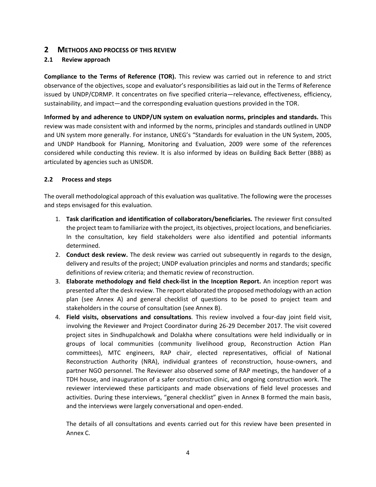#### <span id="page-9-0"></span>**2 METHODS AND PROCESS OF THIS REVIEW**

#### <span id="page-9-1"></span>**2.1 Review approach**

**Compliance to the Terms of Reference (TOR).** This review was carried out in reference to and strict observance of the objectives, scope and evaluator's responsibilities as laid out in the Terms of Reference issued by UNDP/CDRMP. It concentrates on five specified criteria—relevance, effectiveness, efficiency, sustainability, and impact—and the corresponding evaluation questions provided in the TOR.

**Informed by and adherence to UNDP/UN system on evaluation norms, principles and standards.** This review was made consistent with and informed by the norms, principles and standards outlined in UNDP and UN system more generally. For instance, UNEG's "Standards for evaluation in the UN System, 2005, and UNDP Handbook for Planning, Monitoring and Evaluation, 2009 were some of the references considered while conducting this review. It is also informed by ideas on Building Back Better (BBB) as articulated by agencies such as UNISDR.

#### <span id="page-9-2"></span>**2.2 Process and steps**

The overall methodological approach of this evaluation was qualitative. The following were the processes and steps envisaged for this evaluation.

- 1. **Task clarification and identification of collaborators/beneficiaries.** The reviewer first consulted the project team to familiarize with the project, its objectives, project locations, and beneficiaries. In the consultation, key field stakeholders were also identified and potential informants determined.
- 2. **Conduct desk review.** The desk review was carried out subsequently in regards to the design, delivery and results of the project; UNDP evaluation principles and norms and standards; specific definitions of review criteria; and thematic review of reconstruction.
- 3. **Elaborate methodology and field check-list in the Inception Report.** An inception report was presented after the desk review. The report elaborated the proposed methodology with an action plan (see Annex A) and general checklist of questions to be posed to project team and stakeholders in the course of consultation (see Annex B).
- 4. **Field visits, observations and consultations**. This review involved a four-day joint field visit, involving the Reviewer and Project Coordinator during 26-29 December 2017. The visit covered project sites in Sindhupalchowk and Dolakha where consultations were held individually or in groups of local communities (community livelihood group, Reconstruction Action Plan committees), MTC engineers, RAP chair, elected representatives, official of National Reconstruction Authority (NRA), individual grantees of reconstruction, house-owners, and partner NGO personnel. The Reviewer also observed some of RAP meetings, the handover of a TDH house, and inauguration of a safer construction clinic, and ongoing construction work. The reviewer interviewed these participants and made observations of field level processes and activities. During these interviews, "general checklist" given in Annex B formed the main basis, and the interviews were largely conversational and open-ended.

The details of all consultations and events carried out for this review have been presented in Annex C.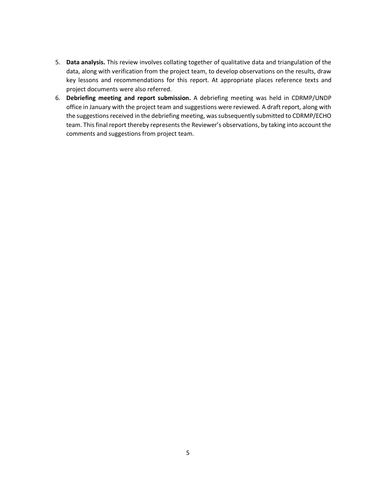- 5. **Data analysis.** This review involves collating together of qualitative data and triangulation of the data, along with verification from the project team, to develop observations on the results, draw key lessons and recommendations for this report. At appropriate places reference texts and project documents were also referred.
- 6. **Debriefing meeting and report submission.** A debriefing meeting was held in CDRMP/UNDP office in January with the project team and suggestions were reviewed. A draft report, along with the suggestions received in the debriefing meeting, was subsequently submitted to CDRMP/ECHO team. This final report thereby represents the Reviewer's observations, by taking into account the comments and suggestions from project team.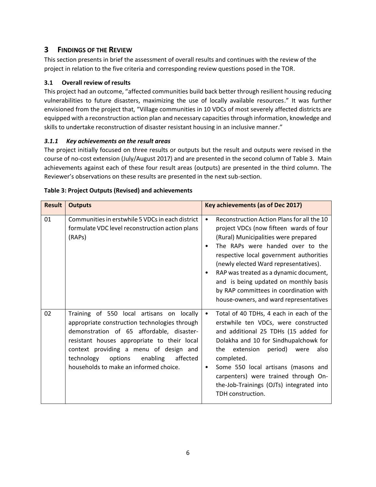### <span id="page-11-0"></span>**3 FINDINGS OF THE REVIEW**

This section presents in brief the assessment of overall results and continues with the review of the project in relation to the five criteria and corresponding review questions posed in the TOR.

#### <span id="page-11-1"></span>**3.1 Overall review of results**

This project had an outcome, "affected communities build back better through resilient housing reducing vulnerabilities to future disasters, maximizing the use of locally available resources." It was further envisioned from the project that, "Village communities in 10 VDCs of most severely affected districts are equipped with a reconstruction action plan and necessary capacities through information, knowledge and skills to undertake reconstruction of disaster resistant housing in an inclusive manner."

#### <span id="page-11-2"></span>*3.1.1 Key achievements on the result areas*

The project initially focused on three results or outputs but the result and outputs were revised in the course of no-cost extension (July/August 2017) and are presented in the second column of Table 3. Main achievements against each of these four result areas (outputs) are presented in the third column. The Reviewer's observations on these results are presented in the next sub-section.

| <b>Result</b> | <b>Outputs</b>                                                                                                                                                                                                                                                                                                              | Key achievements (as of Dec 2017)                                                                                                                                                                                                                                                                                                                                                                                                         |  |
|---------------|-----------------------------------------------------------------------------------------------------------------------------------------------------------------------------------------------------------------------------------------------------------------------------------------------------------------------------|-------------------------------------------------------------------------------------------------------------------------------------------------------------------------------------------------------------------------------------------------------------------------------------------------------------------------------------------------------------------------------------------------------------------------------------------|--|
| 01            | Communities in erstwhile 5 VDCs in each district<br>formulate VDC level reconstruction action plans<br>(RAPs)                                                                                                                                                                                                               | Reconstruction Action Plans for all the 10<br>$\bullet$<br>project VDCs (now fifteen wards of four<br>(Rural) Municipalities were prepared<br>The RAPs were handed over to the<br>respective local government authorities<br>(newly elected Ward representatives).<br>RAP was treated as a dynamic document,<br>and is being updated on monthly basis<br>by RAP committees in coordination with<br>house-owners, and ward representatives |  |
| 02            | Training of 550 local artisans on locally<br>appropriate construction technologies through<br>demonstration of 65 affordable, disaster-<br>resistant houses appropriate to their local<br>context providing a menu of design and<br>technology<br>options<br>enabling<br>affected<br>households to make an informed choice. | Total of 40 TDHs, 4 each in each of the<br>$\bullet$<br>erstwhile ten VDCs, were constructed<br>and additional 25 TDHs (15 added for<br>Dolakha and 10 for Sindhupalchowk for<br>extension<br>period)<br>also<br>the<br>were<br>completed.<br>Some 550 local artisans (masons and<br>٠<br>carpenters) were trained through On-<br>the-Job-Trainings (OJTs) integrated into<br>TDH construction.                                           |  |

#### <span id="page-11-3"></span>**Table 3: Project Outputs (Revised) and achievements**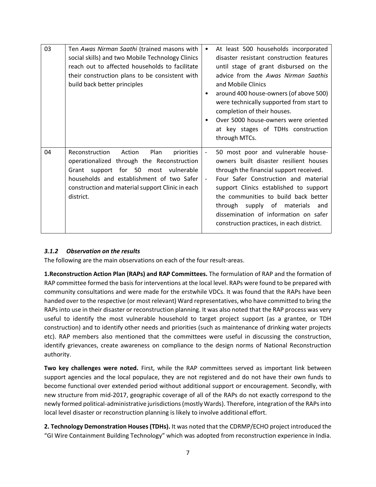| 03 | Ten Awas Nirman Saathi (trained masons with<br>social skills) and two Mobile Technology Clinics<br>reach out to affected households to facilitate<br>their construction plans to be consistent with<br>build back better principles                | $\bullet$                                            | At least 500 households incorporated<br>disaster resistant construction features<br>until stage of grant disbursed on the<br>advice from the Awas Nirman Saathis<br>and Mobile Clinics<br>around 400 house-owners (of above 500)<br>were technically supported from start to<br>completion of their houses.<br>Over 5000 house-owners were oriented<br>at key stages of TDHs construction<br>through MTCs. |
|----|----------------------------------------------------------------------------------------------------------------------------------------------------------------------------------------------------------------------------------------------------|------------------------------------------------------|------------------------------------------------------------------------------------------------------------------------------------------------------------------------------------------------------------------------------------------------------------------------------------------------------------------------------------------------------------------------------------------------------------|
| 04 | Reconstruction<br>Action<br>Plan<br>priorities<br>operationalized through the Reconstruction<br>Grant support for 50 most vulnerable<br>households and establishment of two Safer<br>construction and material support Clinic in each<br>district. | $\overline{\phantom{a}}$<br>$\overline{\phantom{a}}$ | 50 most poor and vulnerable house-<br>owners built disaster resilient houses<br>through the financial support received.<br>Four Safer Construction and material<br>support Clinics established to support<br>the communities to build back better<br>supply of materials<br>through<br>and<br>dissemination of information on safer<br>construction practices, in each district.                           |

#### <span id="page-12-0"></span>*3.1.2 Observation on the results*

The following are the main observations on each of the four result-areas.

**1.Reconstruction Action Plan (RAPs) and RAP Committees.** The formulation of RAP and the formation of RAP committee formed the basis for interventions at the local level. RAPs were found to be prepared with community consultations and were made for the erstwhile VDCs. It was found that the RAPs have been handed over to the respective (or most relevant) Ward representatives, who have committed to bring the RAPs into use in their disaster or reconstruction planning. It was also noted that the RAP process was very useful to identify the most vulnerable household to target project support (as a grantee, or TDH construction) and to identify other needs and priorities (such as maintenance of drinking water projects etc). RAP members also mentioned that the committees were useful in discussing the construction, identify grievances, create awareness on compliance to the design norms of National Reconstruction authority.

**Two key challenges were noted.** First, while the RAP committees served as important link between support agencies and the local populace, they are not registered and do not have their own funds to become functional over extended period without additional support or encouragement. Secondly, with new structure from mid-2017, geographic coverage of all of the RAPs do not exactly correspond to the newly formed political-administrative jurisdictions (mostly Wards). Therefore, integration of the RAPs into local level disaster or reconstruction planning is likely to involve additional effort.

**2. Technology Demonstration Houses (TDHs).** It was noted that the CDRMP/ECHO project introduced the "GI Wire Containment Building Technology" which was adopted from reconstruction experience in India.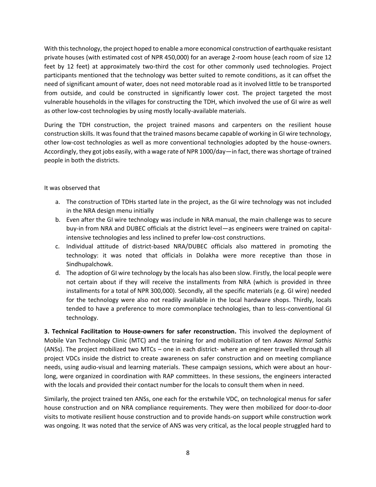With this technology, the project hoped to enable a more economical construction of earthquake resistant private houses (with estimated cost of NPR 450,000) for an average 2-room house (each room of size 12 feet by 12 feet) at approximately two-third the cost for other commonly used technologies. Project participants mentioned that the technology was better suited to remote conditions, as it can offset the need of significant amount of water, does not need motorable road as it involved little to be transported from outside, and could be constructed in significantly lower cost. The project targeted the most vulnerable households in the villages for constructing the TDH, which involved the use of GI wire as well as other low-cost technologies by using mostly locally-available materials.

During the TDH construction, the project trained masons and carpenters on the resilient house construction skills. It was found that the trained masons became capable of working in GI wire technology, other low-cost technologies as well as more conventional technologies adopted by the house-owners. Accordingly, they got jobs easily, with a wage rate of NPR 1000/day—in fact, there was shortage of trained people in both the districts.

#### It was observed that

- a. The construction of TDHs started late in the project, as the GI wire technology was not included in the NRA design menu initially
- b. Even after the GI wire technology was include in NRA manual, the main challenge was to secure buy-in from NRA and DUBEC officials at the district level—as engineers were trained on capitalintensive technologies and less inclined to prefer low-cost constructions.
- c. Individual attitude of district-based NRA/DUBEC officials also mattered in promoting the technology: it was noted that officials in Dolakha were more receptive than those in Sindhupalchowk.
- d. The adoption of GI wire technology by the locals has also been slow. Firstly, the local people were not certain about if they will receive the installments from NRA (which is provided in three installments for a total of NPR 300,000). Secondly, all the specific materials (e.g. GI wire) needed for the technology were also not readily available in the local hardware shops. Thirdly, locals tended to have a preference to more commonplace technologies, than to less-conventional GI technology.

**3. Technical Facilitation to House-owners for safer reconstruction.** This involved the deployment of Mobile Van Technology Clinic (MTC) and the training for and mobilization of ten *Aawas Nirmal Sathis* (ANSs). The project mobilized two MTCs – one in each district- where an engineer travelled through all project VDCs inside the district to create awareness on safer construction and on meeting compliance needs, using audio-visual and learning materials. These campaign sessions, which were about an hourlong, were organized in coordination with RAP committees. In these sessions, the engineers interacted with the locals and provided their contact number for the locals to consult them when in need.

Similarly, the project trained ten ANSs, one each for the erstwhile VDC, on technological menus for safer house construction and on NRA compliance requirements. They were then mobilized for door-to-door visits to motivate resilient house construction and to provide hands-on support while construction work was ongoing. It was noted that the service of ANS was very critical, as the local people struggled hard to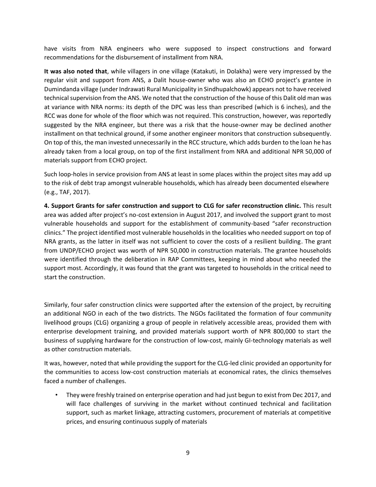have visits from NRA engineers who were supposed to inspect constructions and forward recommendations for the disbursement of installment from NRA.

**It was also noted that**, while villagers in one village (Katakuti, in Dolakha) were very impressed by the regular visit and support from ANS, a Dalit house-owner who was also an ECHO project's grantee in Dumindanda village (under Indrawati Rural Municipality in Sindhupalchowk) appears not to have received technical supervision from the ANS. We noted that the construction of the house of this Dalit old man was at variance with NRA norms: its depth of the DPC was less than prescribed (which is 6 inches), and the RCC was done for whole of the floor which was not required. This construction, however, was reportedly suggested by the NRA engineer, but there was a risk that the house-owner may be declined another installment on that technical ground, if some another engineer monitors that construction subsequently. On top of this, the man invested unnecessarily in the RCC structure, which adds burden to the loan he has already taken from a local group, on top of the first installment from NRA and additional NPR 50,000 of materials support from ECHO project.

Such loop-holes in service provision from ANS at least in some places within the project sites may add up to the risk of debt trap amongst vulnerable households, which has already been documented elsewhere (e.g., TAF, 2017).

**4. Support Grants for safer construction and support to CLG for safer reconstruction clinic.** This result area was added after project's no-cost extension in August 2017, and involved the support grant to most vulnerable households and support for the establishment of community-based "safer reconstruction clinics." The project identified most vulnerable households in the localities who needed support on top of NRA grants, as the latter in itself was not sufficient to cover the costs of a resilient building. The grant from UNDP/ECHO project was worth of NPR 50,000 in construction materials. The grantee households were identified through the deliberation in RAP Committees, keeping in mind about who needed the support most. Accordingly, it was found that the grant was targeted to households in the critical need to start the construction.

Similarly, four safer construction clinics were supported after the extension of the project, by recruiting an additional NGO in each of the two districts. The NGOs facilitated the formation of four community livelihood groups (CLG) organizing a group of people in relatively accessible areas, provided them with enterprise development training, and provided materials support worth of NPR 800,000 to start the business of supplying hardware for the construction of low-cost, mainly GI-technology materials as well as other construction materials.

It was, however, noted that while providing the support for the CLG-led clinic provided an opportunity for the communities to access low-cost construction materials at economical rates, the clinics themselves faced a number of challenges.

• They were freshly trained on enterprise operation and had just begun to exist from Dec 2017, and will face challenges of surviving in the market without continued technical and facilitation support, such as market linkage, attracting customers, procurement of materials at competitive prices, and ensuring continuous supply of materials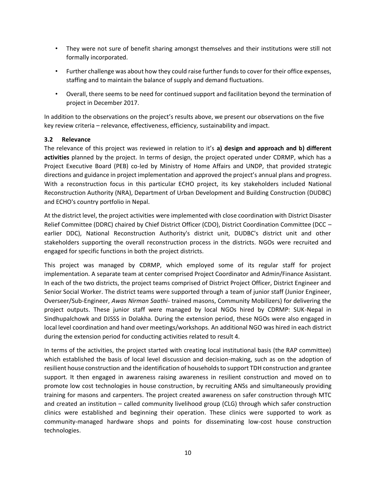- They were not sure of benefit sharing amongst themselves and their institutions were still not formally incorporated.
- Further challenge was about how they could raise further funds to cover for their office expenses, staffing and to maintain the balance of supply and demand fluctuations.
- Overall, there seems to be need for continued support and facilitation beyond the termination of project in December 2017.

In addition to the observations on the project's results above, we present our observations on the five key review criteria – relevance, effectiveness, efficiency, sustainability and impact.

#### <span id="page-15-0"></span>**3.2 Relevance**

The relevance of this project was reviewed in relation to it's **a) design and approach and b) different activities** planned by the project. In terms of design, the project operated under CDRMP, which has a Project Executive Board (PEB) co-led by Ministry of Home Affairs and UNDP, that provided strategic directions and guidance in project implementation and approved the project's annual plans and progress. With a reconstruction focus in this particular ECHO project, its key stakeholders included National Reconstruction Authority (NRA), Department of Urban Development and Building Construction (DUDBC) and ECHO's country portfolio in Nepal.

At the district level, the project activities were implemented with close coordination with District Disaster Relief Committee (DDRC) chaired by Chief District Officer (CDO), District Coordination Committee (DCC – earlier DDC), National Reconstruction Authority's district unit, DUDBC's district unit and other stakeholders supporting the overall reconstruction process in the districts. NGOs were recruited and engaged for specific functions in both the project districts.

This project was managed by CDRMP, which employed some of its regular staff for project implementation. A separate team at center comprised Project Coordinator and Admin/Finance Assistant. In each of the two districts, the project teams comprised of District Project Officer, District Engineer and Senior Social Worker. The district teams were supported through a team of junior staff (Junior Engineer, Overseer/Sub-Engineer, *Awas Nirman Saathi*- trained masons, Community Mobilizers) for delivering the project outputs. These junior staff were managed by local NGOs hired by CDRMP: SUK-Nepal in Sindhupalchowk and DJSSS in Dolakha. During the extension period, these NGOs were also engaged in local level coordination and hand over meetings/workshops. An additional NGO was hired in each district during the extension period for conducting activities related to result 4.

In terms of the activities, the project started with creating local institutional basis (the RAP committee) which established the basis of local level discussion and decision-making, such as on the adoption of resilient house construction and the identification of households to support TDH construction and grantee support. It then engaged in awareness raising awareness in resilient construction and moved on to promote low cost technologies in house construction, by recruiting ANSs and simultaneously providing training for masons and carpenters. The project created awareness on safer construction through MTC and created an institution – called community livelihood group (CLG) through which safer construction clinics were established and beginning their operation. These clinics were supported to work as community-managed hardware shops and points for disseminating low-cost house construction technologies.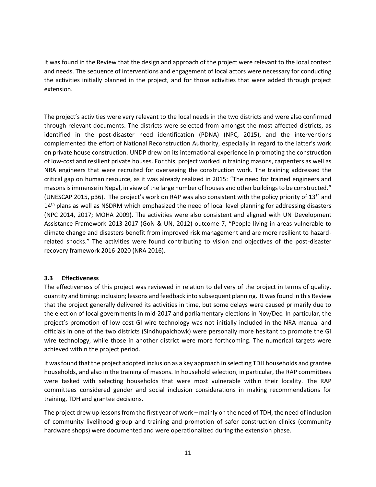It was found in the Review that the design and approach of the project were relevant to the local context and needs. The sequence of interventions and engagement of local actors were necessary for conducting the activities initially planned in the project, and for those activities that were added through project extension.

The project's activities were very relevant to the local needs in the two districts and were also confirmed through relevant documents. The districts were selected from amongst the most affected districts, as identified in the post-disaster need identification (PDNA) (NPC, 2015), and the interventions complemented the effort of National Reconstruction Authority, especially in regard to the latter's work on private house construction. UNDP drew on its international experience in promoting the construction of low-cost and resilient private houses. For this, project worked in training masons, carpenters as well as NRA engineers that were recruited for overseeing the construction work. The training addressed the critical gap on human resource, as it was already realized in 2015: "The need for trained engineers and masons is immense in Nepal, in view of the large number of houses and other buildings to be constructed." (UNESCAP 2015, p36). The project's work on RAP was also consistent with the policy priority of 13<sup>th</sup> and 14<sup>th</sup> plans as well as NSDRM which emphasized the need of local level planning for addressing disasters (NPC 2014, 2017; MOHA 2009). The activities were also consistent and aligned with UN Development Assistance Framework 2013-2017 (GoN & UN, 2012) outcome 7, "People living in areas vulnerable to climate change and disasters benefit from improved risk management and are more resilient to hazardrelated shocks." The activities were found contributing to vision and objectives of the post-disaster recovery framework 2016-2020 (NRA 2016).

#### <span id="page-16-0"></span>**3.3 Effectiveness**

The effectiveness of this project was reviewed in relation to delivery of the project in terms of quality, quantity and timing; inclusion; lessons and feedback into subsequent planning. It was found in this Review that the project generally delivered its activities in time, but some delays were caused primarily due to the election of local governments in mid-2017 and parliamentary elections in Nov/Dec. In particular, the project's promotion of low cost GI wire technology was not initially included in the NRA manual and officials in one of the two districts (Sindhupalchowk) were personally more hesitant to promote the GI wire technology, while those in another district were more forthcoming. The numerical targets were achieved within the project period.

It was found that the project adopted inclusion as a key approach in selecting TDH households and grantee households, and also in the training of masons. In household selection, in particular, the RAP committees were tasked with selecting households that were most vulnerable within their locality. The RAP committees considered gender and social inclusion considerations in making recommendations for training, TDH and grantee decisions.

The project drew up lessons from the first year of work – mainly on the need of TDH, the need of inclusion of community livelihood group and training and promotion of safer construction clinics (community hardware shops) were documented and were operationalized during the extension phase.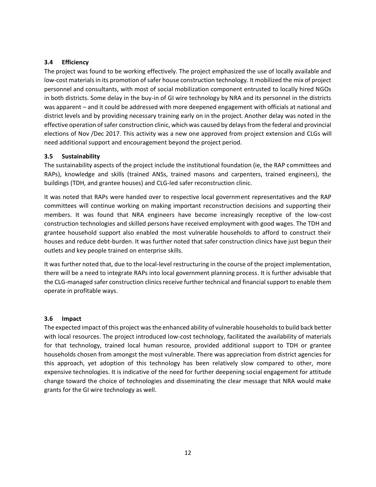#### <span id="page-17-0"></span>**3.4 Efficiency**

The project was found to be working effectively. The project emphasized the use of locally available and low-cost materials in its promotion of safer house construction technology. It mobilized the mix of project personnel and consultants, with most of social mobilization component entrusted to locally hired NGOs in both districts. Some delay in the buy-in of GI wire technology by NRA and its personnel in the districts was apparent – and it could be addressed with more deepened engagement with officials at national and district levels and by providing necessary training early on in the project. Another delay was noted in the effective operation of safer construction clinic, which was caused by delays from the federal and provincial elections of Nov /Dec 2017. This activity was a new one approved from project extension and CLGs will need additional support and encouragement beyond the project period.

#### <span id="page-17-1"></span>**3.5 Sustainability**

The sustainability aspects of the project include the institutional foundation (ie, the RAP committees and RAPs), knowledge and skills (trained ANSs, trained masons and carpenters, trained engineers), the buildings (TDH, and grantee houses) and CLG-led safer reconstruction clinic.

It was noted that RAPs were handed over to respective local government representatives and the RAP committees will continue working on making important reconstruction decisions and supporting their members. It was found that NRA engineers have become increasingly receptive of the low-cost construction technologies and skilled persons have received employment with good wages. The TDH and grantee household support also enabled the most vulnerable households to afford to construct their houses and reduce debt-burden. It was further noted that safer construction clinics have just begun their outlets and key people trained on enterprise skills.

It was further noted that, due to the local-level restructuring in the course of the project implementation, there will be a need to integrate RAPs into local government planning process. It is further advisable that the CLG-managed safer construction clinics receive further technical and financial support to enable them operate in profitable ways.

#### <span id="page-17-2"></span>**3.6 Impact**

The expected impact of this project was the enhanced ability of vulnerable households to build back better with local resources. The project introduced low-cost technology, facilitated the availability of materials for that technology, trained local human resource, provided additional support to TDH or grantee households chosen from amongst the most vulnerable. There was appreciation from district agencies for this approach, yet adoption of this technology has been relatively slow compared to other, more expensive technologies. It is indicative of the need for further deepening social engagement for attitude change toward the choice of technologies and disseminating the clear message that NRA would make grants for the GI wire technology as well.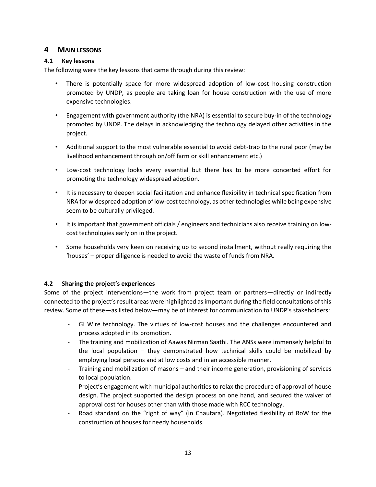#### <span id="page-18-0"></span>**4 MAIN LESSONS**

#### <span id="page-18-1"></span>**4.1 Key lessons**

The following were the key lessons that came through during this review:

- There is potentially space for more widespread adoption of low-cost housing construction promoted by UNDP, as people are taking loan for house construction with the use of more expensive technologies.
- Engagement with government authority (the NRA) is essential to secure buy-in of the technology promoted by UNDP. The delays in acknowledging the technology delayed other activities in the project.
- Additional support to the most vulnerable essential to avoid debt-trap to the rural poor (may be livelihood enhancement through on/off farm or skill enhancement etc.)
- Low-cost technology looks every essential but there has to be more concerted effort for promoting the technology widespread adoption.
- It is necessary to deepen social facilitation and enhance flexibility in technical specification from NRA for widespread adoption of low-cost technology, as other technologies while being expensive seem to be culturally privileged.
- It is important that government officials / engineers and technicians also receive training on lowcost technologies early on in the project.
- Some households very keen on receiving up to second installment, without really requiring the 'houses' – proper diligence is needed to avoid the waste of funds from NRA.

#### <span id="page-18-2"></span>**4.2 Sharing the project's experiences**

Some of the project interventions—the work from project team or partners—directly or indirectly connected to the project's result areas were highlighted as important during the field consultations of this review. Some of these—as listed below—may be of interest for communication to UNDP's stakeholders:

- GI Wire technology. The virtues of low-cost houses and the challenges encountered and process adopted in its promotion.
- The training and mobilization of Aawas Nirman Saathi. The ANSs were immensely helpful to the local population – they demonstrated how technical skills could be mobilized by employing local persons and at low costs and in an accessible manner.
- Training and mobilization of masons and their income generation, provisioning of services to local population.
- Project's engagement with municipal authorities to relax the procedure of approval of house design. The project supported the design process on one hand, and secured the waiver of approval cost for houses other than with those made with RCC technology.
- Road standard on the "right of way" (in Chautara). Negotiated flexibility of RoW for the construction of houses for needy households.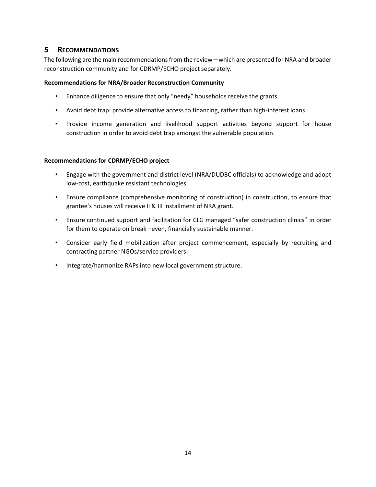### <span id="page-19-0"></span>**5 RECOMMENDATIONS**

The following are the main recommendations from the review—which are presented for NRA and broader reconstruction community and for CDRMP/ECHO project separately.

#### **Recommendations for NRA/Broader Reconstruction Community**

- Enhance diligence to ensure that only "needy" households receive the grants.
- Avoid debt trap: provide alternative access to financing, rather than high-interest loans.
- Provide income generation and livelihood support activities beyond support for house construction in order to avoid debt trap amongst the vulnerable population.

#### **Recommendations for CDRMP/ECHO project**

- Engage with the government and district level (NRA/DUDBC officials) to acknowledge and adopt low-cost, earthquake resistant technologies
- Ensure compliance (comprehensive monitoring of construction) in construction, to ensure that grantee's houses will receive II & III installment of NRA grant.
- Ensure continued support and facilitation for CLG managed "safer construction clinics" in order for them to operate on break –even, financially sustainable manner.
- Consider early field mobilization after project commencement, especially by recruiting and contracting partner NGOs/service providers.
- Integrate/harmonize RAPs into new local government structure.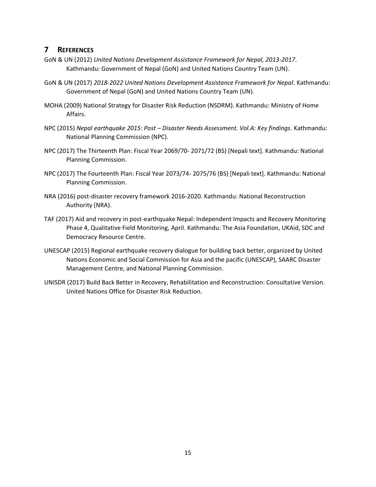#### <span id="page-20-0"></span>**7 REFERENCES**

- GoN & UN (2012) *United Nations Development Assistance Framework for Nepal, 2013-2017*. Kathmandu: Government of Nepal (GoN) and United Nations Country Team (UN).
- GoN & UN (2017) *2018-2022 United Nations Development Assistance Framework for Nepal*. Kathmandu: Government of Nepal (GoN) and United Nations Country Team (UN).
- MOHA (2009) National Strategy for Disaster Risk Reduction (NSDRM). Kathmandu: Ministry of Home Affairs.
- NPC (2015) *Nepal earthquake 2015: Post – Disaster Needs Assessment. Vol.A: Key findings*. Kathmandu: National Planning Commission (NPC).
- NPC (2017) The Thirteenth Plan: Fiscal Year 2069/70- 2071/72 (BS) [Nepali text]. Kathmandu: National Planning Commission.
- NPC (2017) The Fourteenth Plan: Fiscal Year 2073/74- 2075/76 (BS) [Nepali text]. Kathmandu: National Planning Commission.
- NRA (2016) post-disaster recovery framework 2016-2020. Kathmandu: National Reconstruction Authority (NRA).
- TAF (2017) Aid and recovery in post-earthquake Nepal: Independent Impacts and Recovery Monitoring Phase 4, Qualitative Field Monitoring, April. Kathmandu: The Asia Foundation, UKAid, SDC and Democracy Resource Centre.
- UNESCAP (2015) Regional earthquake recovery dialogue for building back better, organized by United Nations Economic and Social Commission for Asia and the pacific (UNESCAP), SAARC Disaster Management Centre, and National Planning Commission.
- UNISDR (2017) Build Back Better in Recovery, Rehabilitation and Reconstruction: Consultative Version. United Nations Office for Disaster Risk Reduction.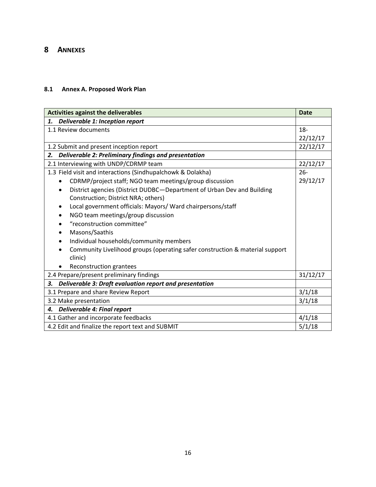## <span id="page-21-0"></span>**8 ANNEXES**

#### <span id="page-21-1"></span>**8.1 Annex A. Proposed Work Plan**

| <b>Activities against the deliverables</b>                                                |          |  |
|-------------------------------------------------------------------------------------------|----------|--|
| Deliverable 1: Inception report<br>1.                                                     |          |  |
| 1.1 Review documents                                                                      |          |  |
|                                                                                           | 22/12/17 |  |
| 1.2 Submit and present inception report                                                   | 22/12/17 |  |
| Deliverable 2: Preliminary findings and presentation<br>2.                                |          |  |
| 2.1 Interviewing with UNDP/CDRMP team                                                     | 22/12/17 |  |
| 1.3 Field visit and interactions (Sindhupalchowk & Dolakha)                               | $26 -$   |  |
| CDRMP/project staff; NGO team meetings/group discussion<br>$\bullet$                      | 29/12/17 |  |
| District agencies (District DUDBC-Department of Urban Dev and Building<br>$\bullet$       |          |  |
| Construction; District NRA; others)                                                       |          |  |
| Local government officials: Mayors/ Ward chairpersons/staff<br>٠                          |          |  |
| NGO team meetings/group discussion                                                        |          |  |
| "reconstruction committee"                                                                |          |  |
| Masons/Saathis                                                                            |          |  |
| Individual households/community members<br>$\bullet$                                      |          |  |
| Community Livelihood groups (operating safer construction & material support<br>$\bullet$ |          |  |
| clinic)                                                                                   |          |  |
| Reconstruction grantees                                                                   |          |  |
| 2.4 Prepare/present preliminary findings                                                  | 31/12/17 |  |
| Deliverable 3: Draft evaluation report and presentation<br>3.                             |          |  |
| 3.1 Prepare and share Review Report                                                       |          |  |
| 3.2 Make presentation                                                                     |          |  |
| 4. Deliverable 4: Final report                                                            |          |  |
| 4.1 Gather and incorporate feedbacks<br>4/1/18                                            |          |  |
| 4.2 Edit and finalize the report text and SUBMIT                                          |          |  |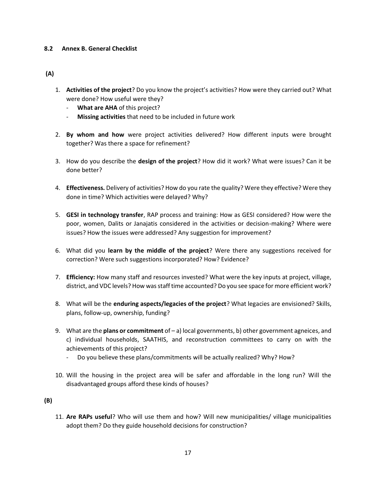#### <span id="page-22-0"></span>**8.2 Annex B. General Checklist**

#### **(A)**

- 1. **Activities of the project**? Do you know the project's activities? How were they carried out? What were done? How useful were they?
	- **What are AHA** of this project?
	- **Missing activities** that need to be included in future work
- 2. **By whom and how** were project activities delivered? How different inputs were brought together? Was there a space for refinement?
- 3. How do you describe the **design of the project**? How did it work? What were issues? Can it be done better?
- 4. **Effectiveness.** Delivery of activities? How do you rate the quality? Were they effective? Were they done in time? Which activities were delayed? Why?
- 5. **GESI in technology transfer**, RAP process and training: How as GESI considered? How were the poor, women, Dalits or Janajatis considered in the activities or decision-making? Where were issues? How the issues were addressed? Any suggestion for improvement?
- 6. What did you **learn by the middle of the project**? Were there any suggestions received for correction? Were such suggestions incorporated? How? Evidence?
- 7. **Efficiency:** How many staff and resources invested? What were the key inputs at project, village, district, and VDC levels? How was staff time accounted? Do you see space for more efficient work?
- 8. What will be the **enduring aspects/legacies of the project**? What legacies are envisioned? Skills, plans, follow-up, ownership, funding?
- 9. What are the **plans or commitment** of a) local governments, b) other government agneices, and c) individual households, SAATHIS, and reconstruction committees to carry on with the achievements of this project?
	- Do you believe these plans/commitments will be actually realized? Why? How?
- 10. Will the housing in the project area will be safer and affordable in the long run? Will the disadvantaged groups afford these kinds of houses?

**(B)** 

11. **Are RAPs useful**? Who will use them and how? Will new municipalities/ village municipalities adopt them? Do they guide household decisions for construction?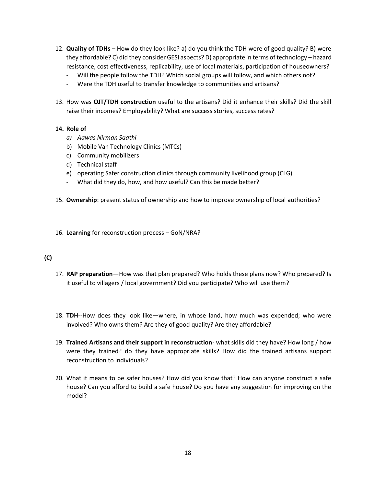- 12. **Quality of TDHs** How do they look like? a) do you think the TDH were of good quality? B) were they affordable? C) did they consider GESI aspects? D) appropriate in terms of technology – hazard resistance, cost effectiveness, replicability, use of local materials, participation of houseowners?
	- Will the people follow the TDH? Which social groups will follow, and which others not?
	- Were the TDH useful to transfer knowledge to communities and artisans?
- 13. How was **OJT/TDH construction** useful to the artisans? Did it enhance their skills? Did the skill raise their incomes? Employability? What are success stories, success rates?

#### **14. Role of**

- *a) Aawas Nirman Saathi*
- b) Mobile Van Technology Clinics (MTCs)
- c) Community mobilizers
- d) Technical staff
- e) operating Safer construction clinics through community livelihood group (CLG)
- What did they do, how, and how useful? Can this be made better?
- 15. **Ownership**: present status of ownership and how to improve ownership of local authorities?
- 16. **Learning** for reconstruction process GoN/NRA?

#### **(C)**

- 17. **RAP preparation—**How was that plan prepared? Who holds these plans now? Who prepared? Is it useful to villagers / local government? Did you participate? Who will use them?
- 18. **TDH--**How does they look like—where, in whose land, how much was expended; who were involved? Who owns them? Are they of good quality? Are they affordable?
- 19. **Trained Artisans and their support in reconstruction** what skills did they have? How long / how were they trained? do they have appropriate skills? How did the trained artisans support reconstruction to individuals?
- 20. What it means to be safer houses? How did you know that? How can anyone construct a safe house? Can you afford to build a safe house? Do you have any suggestion for improving on the model?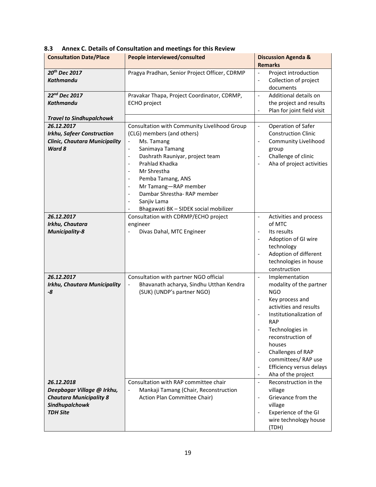| <b>Consultation Date/Place</b>                                                                                                                     | People interviewed/consulted                                                                                                                                                                                                                                                                                                                                                                                                                                                                                                                                                                                                | <b>Discussion Agenda &amp;</b><br><b>Remarks</b>                                                                                                                                                                                                                                                                                                                                                   |
|----------------------------------------------------------------------------------------------------------------------------------------------------|-----------------------------------------------------------------------------------------------------------------------------------------------------------------------------------------------------------------------------------------------------------------------------------------------------------------------------------------------------------------------------------------------------------------------------------------------------------------------------------------------------------------------------------------------------------------------------------------------------------------------------|----------------------------------------------------------------------------------------------------------------------------------------------------------------------------------------------------------------------------------------------------------------------------------------------------------------------------------------------------------------------------------------------------|
| 20th Dec 2017<br><b>Kathmandu</b>                                                                                                                  | Pragya Pradhan, Senior Project Officer, CDRMP                                                                                                                                                                                                                                                                                                                                                                                                                                                                                                                                                                               | Project introduction<br>$\blacksquare$<br>Collection of project<br>$\overline{\phantom{a}}$<br>documents                                                                                                                                                                                                                                                                                           |
| 22 <sup>nd</sup> Dec 2017<br>Kathmandu                                                                                                             | Pravakar Thapa, Project Coordinator, CDRMP,<br><b>ECHO</b> project                                                                                                                                                                                                                                                                                                                                                                                                                                                                                                                                                          | Additional details on<br>$\blacksquare$<br>the project and results<br>Plan for joint field visit<br>$\blacksquare$                                                                                                                                                                                                                                                                                 |
| <b>Travel to Sindhupalchowk</b><br>26.12.2017<br><b>Irkhu, Safeer Construction</b><br><b>Clinic, Chautara Municipality</b><br>Ward 8<br>26.12.2017 | Consultation with Community Livelihood Group<br>(CLG) members (and others)<br>Ms. Tamang<br>$\overline{\phantom{0}}$<br>Sanimaya Tamang<br>$\qquad \qquad -$<br>Dashrath Rauniyar, project team<br>$\overline{\phantom{a}}$<br>Prahlad Khadka<br>$\overline{\phantom{a}}$<br>Mr Shrestha<br>$\overline{\phantom{a}}$<br>Pemba Tamang, ANS<br>$\qquad \qquad \blacksquare$<br>Mr Tamang-RAP member<br>$\qquad \qquad \blacksquare$<br>Dambar Shrestha-RAP member<br>$\overline{\phantom{a}}$<br>Sanjiv Lama<br>$\qquad \qquad \blacksquare$<br>Bhagawati BK - SIDEK social mobilizer<br>Consultation with CDRMP/ECHO project | Operation of Safer<br>$\blacksquare$<br><b>Construction Clinic</b><br>Community Livelihood<br>$\overline{\phantom{a}}$<br>group<br>Challenge of clinic<br>$\overline{\phantom{a}}$<br>Aha of project activities<br>$\overline{\phantom{a}}$<br>Activities and process<br>$\overline{\phantom{a}}$                                                                                                  |
| Irkhu, Chautara<br><b>Municipality-8</b>                                                                                                           | engineer<br>Divas Dahal, MTC Engineer                                                                                                                                                                                                                                                                                                                                                                                                                                                                                                                                                                                       | of MTC<br>Its results<br>$\overline{\phantom{a}}$<br>Adoption of GI wire<br>$\overline{\phantom{a}}$<br>technology<br>Adoption of different<br>$\blacksquare$<br>technologies in house<br>construction                                                                                                                                                                                             |
| 26.12.2017<br><b>Irkhu, Chautara Municipality</b><br>-8                                                                                            | Consultation with partner NGO official<br>Bhavanath acharya, Sindhu Utthan Kendra<br>(SUK) (UNDP's partner NGO)                                                                                                                                                                                                                                                                                                                                                                                                                                                                                                             | Implementation<br>$\blacksquare$<br>modality of the partner<br><b>NGO</b><br>Key process and<br>activities and results<br>Institutionalization of<br><b>RAP</b><br>Technologies in<br>reconstruction of<br>houses<br>Challenges of RAP<br>$\overline{\phantom{a}}$<br>committees/RAP use<br>Efficiency versus delays<br>$\overline{\phantom{a}}$<br>Aha of the project<br>$\overline{\phantom{a}}$ |
| 26.12.2018<br>Deepbagar Village @ Irkhu,<br><b>Chautara Municipality 8</b><br>Sindhupalchowk<br><b>TDH Site</b>                                    | Consultation with RAP committee chair<br>Mankaji Tamang (Chair, Reconstruction<br>$\qquad \qquad \blacksquare$<br>Action Plan Committee Chair)                                                                                                                                                                                                                                                                                                                                                                                                                                                                              | Reconstruction in the<br>$\overline{\phantom{a}}$<br>village<br>Grievance from the<br>$\overline{\phantom{a}}$<br>village<br>Experience of the GI<br>$\overline{\phantom{a}}$<br>wire technology house<br>(TDH)                                                                                                                                                                                    |

<span id="page-24-0"></span>

| 8.3 | Annex C. Details of Consultation and meetings for this Review |
|-----|---------------------------------------------------------------|
|-----|---------------------------------------------------------------|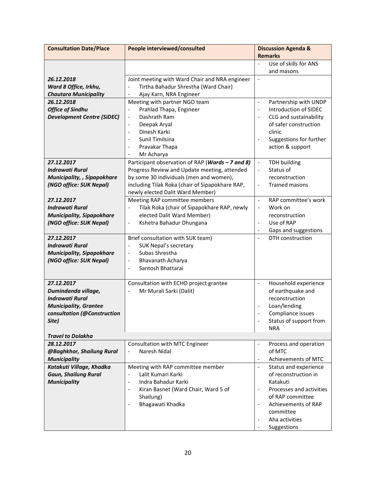| <b>Consultation Date/Place</b>       | People interviewed/consulted                                                                     | <b>Discussion Agenda &amp;</b><br><b>Remarks</b>                       |
|--------------------------------------|--------------------------------------------------------------------------------------------------|------------------------------------------------------------------------|
|                                      |                                                                                                  | Use of skills for ANS<br>$\overline{a}$                                |
|                                      |                                                                                                  | and masons                                                             |
| 26.12.2018                           | Joint meeting with Ward Chair and NRA engineer                                                   | $\blacksquare$                                                         |
| Ward 8 Office, Irkhu,                | Tirtha Bahadur Shrestha (Ward Chair)<br>$\overline{\phantom{a}}$                                 |                                                                        |
| <b>Chautara Municipality</b>         | Ajay Karn, NRA Engineer<br>$\blacksquare$                                                        |                                                                        |
| 26.12.2018                           | Meeting with partner NGO team                                                                    | Partnership with UNDP<br>$\frac{1}{2}$                                 |
| <b>Office of Sindhu</b>              | Prahlad Thapa, Engineer<br>$\frac{1}{2}$                                                         | Introduction of SIDEC<br>$\frac{1}{2}$                                 |
| <b>Development Centre (SiDEC)</b>    | Dashrath Ram<br>$\overline{\phantom{a}}$                                                         | CLG and sustainability<br>$\overline{a}$                               |
|                                      | Deepak Aryal<br>$\overline{\phantom{a}}$                                                         | of safer construction                                                  |
|                                      | Dinesh Karki<br>$\overline{\phantom{a}}$                                                         | clinic                                                                 |
|                                      | Sunil Timilsina<br>$\overline{\phantom{a}}$                                                      | Suggestions for further                                                |
|                                      | Pravakar Thapa<br>$\overline{\phantom{a}}$                                                       | action & support                                                       |
|                                      | Mr Acharya<br>$\overline{\phantom{a}}$                                                           |                                                                        |
| 27.12.2017<br><b>Indrawati Rural</b> | Participant observation of RAP (Wards - 7 and 8)<br>Progress Review and Update meeting, attended | <b>TDH building</b><br>$\Box$<br>Status of<br>$\overline{\phantom{a}}$ |
| Municipality, , Sipapokhare          | by some 30 individuals (men and women),                                                          | reconstruction                                                         |
| (NGO office: SUK Nepal)              | including Tilak Roka (chair of Sipapokhare RAP,                                                  | <b>Trained masons</b><br>$\overline{\phantom{a}}$                      |
|                                      | newly elected Dalit Ward Member)                                                                 |                                                                        |
| 27.12.2017                           | Meeting RAP committee members                                                                    | RAP committee's work<br>$\blacksquare$                                 |
| <b>Indrawati Rural</b>               | Tilak Roka (chair of Sipapokhare RAP, newly<br>$\qquad \qquad \blacksquare$                      | Work on<br>$\overline{\phantom{a}}$                                    |
| <b>Municipality, Sipapokhare</b>     | elected Dalit Ward Member)                                                                       | reconstruction                                                         |
| (NGO office: SUK Nepal)              | Kshetra Bahadur Dhungana<br>$\overline{\phantom{a}}$                                             | Use of RAP<br>$\overline{\phantom{a}}$                                 |
|                                      |                                                                                                  | Gaps and suggestions<br>$\overline{\phantom{a}}$                       |
| 27.12.2017                           | Brief consultation with SUK team)                                                                | DTH construction<br>$\overline{\phantom{a}}$                           |
| <b>Indrawati Rural</b>               | <b>SUK Nepal's secretary</b><br>$\qquad \qquad \blacksquare$                                     |                                                                        |
| <b>Municipality, Sipapokhare</b>     | Subas Shrestha<br>$\overline{\phantom{a}}$                                                       |                                                                        |
| (NGO office: SUK Nepal)              | Bhavanath Acharya<br>$\overline{\phantom{a}}$                                                    |                                                                        |
|                                      | Santosh Bhattarai<br>$\overline{\phantom{a}}$                                                    |                                                                        |
| 27.12.2017                           | Consultation with ECHO project grantee                                                           | Household experience<br>$\blacksquare$                                 |
| Dumindanda village,                  | Mr Murali Sarki (Dalit)                                                                          | of earthquake and                                                      |
| <b>Indrawati Rural</b>               |                                                                                                  | reconstruction                                                         |
| <b>Municipality, Grantee</b>         |                                                                                                  | Loan/lending                                                           |
| consultation (@Construction          |                                                                                                  | Compliance issues                                                      |
| Site)                                |                                                                                                  | Status of support from                                                 |
|                                      |                                                                                                  | <b>NRA</b>                                                             |
| <b>Travel to Dolakha</b>             |                                                                                                  |                                                                        |
| 28.12.2017                           | Consultation with MTC Engineer                                                                   | Process and operation                                                  |
| @Baghkhor, Shailung Rural            | Naresh Nidal<br>$\overline{\phantom{0}}$                                                         | of MTC                                                                 |
| <b>Municipality</b>                  |                                                                                                  | Achievements of MTC<br>$\overline{\phantom{a}}$                        |
| Katakuti Village, Khadka             | Meeting with RAP committee member                                                                | Status and experience<br>$\blacksquare$                                |
| <b>Gaun, Shailung Rural</b>          | Lalit Kumari Karki<br>$\overline{\phantom{a}}$                                                   | of reconstruction in                                                   |
| <b>Municipality</b>                  | Indra Bahadur Karki<br>$\overline{\phantom{a}}$                                                  | Katakuti                                                               |
|                                      | Kiran Basnet (Ward Chair, Ward 5 of                                                              | Processes and activities<br>$\overline{\phantom{a}}$                   |
|                                      | Shailung)                                                                                        | of RAP committee                                                       |
|                                      | Bhagawati Khadka                                                                                 | Achievements of RAP                                                    |
|                                      |                                                                                                  | committee                                                              |
|                                      |                                                                                                  | Aha activities                                                         |
|                                      |                                                                                                  | Suggestions                                                            |